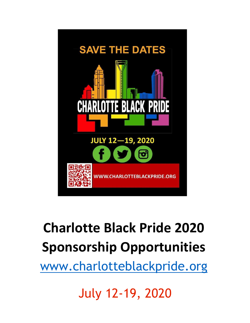

# **Charlotte Black Pride 2020 Sponsorship Opportunities**

[www.charlotteblackpride.org](http://www.charlotteblackpride.org/)

July 12-19, 2020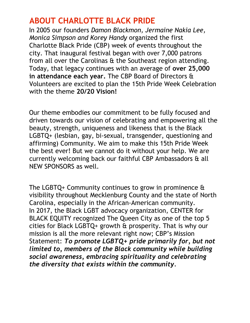## **ABOUT CHARLOTTE BLACK PRIDE**

In 2005 our founders *Damon Blackmon, Jermaine Nakia Lee, Monica Simpson and Korey Handy* organized the first Charlotte Black Pride (CBP) week of events throughout the city. That inaugural festival began with over 7,000 patrons from all over the Carolinas & the Southeast region attending. Today, that legacy continues with an average of **over 25,000 in attendance each year.** The CBP Board of Directors & Volunteers are excited to plan the 15th Pride Week Celebration with the theme **20/20 Vision!**

Our theme embodies our commitment to be fully focused and driven towards our vision of celebrating and empowering all the beauty, strength, uniqueness and likeness that is the Black LGBTQ+ (lesbian, gay, bi-sexual, transgender, questioning and affirming) Community. We aim to make this 15th Pride Week the best ever! But we cannot do it without your help. We are currently welcoming back our faithful CBP Ambassadors & all NEW SPONSORS as well.

The LGBTQ+ Community continues to grow in prominence & visibility throughout Mecklenburg County and the state of North Carolina, especially in the African-American community. In 2017, the Black LGBT advocacy organization, CENTER for BLACK EQUITY recognized The Queen City as one of the top 5 cities for Black LGBTQ+ growth & prosperity. That is why our mission is all the more relevant right now; CBP's Mission Statement: *To promote LGBTQ+ pride primarily for, but not limited to, members of the Black community while building social awareness, embracing spirituality and celebrating the diversity that exists within the community.*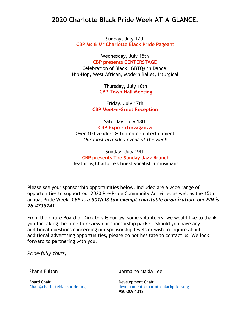## **2020 Charlotte Black Pride Week AT-A-GLANCE:**

Sunday, July 12th **CBP Ms & Mr Charlotte Black Pride Pageant**

Wednesday, July 15th **CBP presents CENTERSTAGE** Celebration of Black LGBTQ+ in Dance: Hip-Hop, West African, Modern Ballet, Liturgical

> Thursday, July 16th **CBP Town Hall Meeting**

Friday, July 17th **CBP Meet-n-Greet Reception**

Saturday, July 18th **CBP Expo Extravaganza** Over 100 vendors & top-notch entertainment *Our most attended event of the week*

Sunday, July 19th **CBP presents The Sunday Jazz Brunch** featuring Charlotte's finest vocalist & musicians

Please see your sponsorship opportunities below. Included are a wide range of opportunities to support our 2020 Pre-Pride Community Activities as well as the 15th annual Pride Week. *CBP is a 501(c)3 tax exempt charitable organization; our EIN is 26-4735241*.

From the entire Board of Directors  $\hat{\alpha}$  our awesome volunteers, we would like to thank you for taking the time to review our sponsorship packet. Should you have any additional questions concerning our sponsorship levels or wish to inquire about additional advertising opportunities, please do not hesitate to contact us. We look forward to partnering with you.

*Pride-fully Yours,*

Board Chair **Development Chair** 

Shann Fulton Jermaine Nakia Lee

Chair@charlotteblackpride.org [development@charlotteblackpride.org](mailto:development@charlotteblackpride.org) 980-309-1318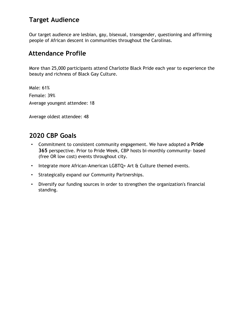## **Target Audience**

Our target audience are lesbian, gay, bisexual, transgender, questioning and affirming people of African descent in communities throughout the Carolinas.

## **Attendance Profile**

More than 25,000 participants attend Charlotte Black Pride each year to experience the beauty and richness of Black Gay Culture.

Male: 61% Female: 39% Average youngest attendee: 18

Average oldest attendee: 48

## **2020 CBP Goals**

- Commitment to consistent community engagement. We have adopted a **Pride 365** perspective. Prior to Pride Week, CBP hosts bi-monthly community- based (free OR low cost) events throughout city.
- Integrate more African-American LGBTQ+ Art & Culture themed events.
- Strategically expand our Community Partnerships.
- Diversify our funding sources in order to strengthen the organization's financial standing.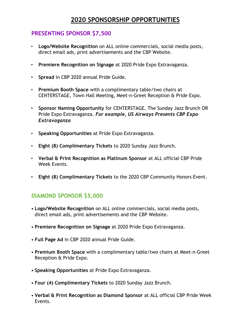## **2020 SPONSORSHIP OPPORTUNITIES**

#### **PRESENTING SPONSOR \$7,500**

- **Logo/Website Recognition** on ALL online commercials, social media posts, direct email ads, print advertisements and the CBP Website.
- **Premiere Recognition on Signage** at 2020 Pride Expo Extravaganza.
- **Spread** in CBP 2020 annual Pride Guide.
- **Premium Booth Space** with a complimentary table/two chairs at CENTERSTAGE, Town Hall Meeting, Meet-n-Greet Reception & Pride Expo.
- **Sponsor Naming Opportunity** for CENTERSTAGE, The Sunday Jazz Brunch OR Pride Expo Extravaganza. *For example, US Airways Presents CBP Expo Extravaganza*
- **Speaking Opportunities** at Pride Expo Extravaganza.
- **Eight (8) Complimentary Tickets** to 2020 Sunday Jazz Brunch.
- **Verbal & Print Recognition as Platinum Sponsor** at ALL official CBP Pride Week Events.
- **Eight (8) Complimentary Tickets** to the 2020 CBP Community Honors Event.

## **DIAMOND SPONSOR \$5,000**

- **Logo/Website Recognition** on ALL online commercials, social media posts, direct email ads, print advertisements and the CBP Website.
- **Premiere Recognition on Signage** at 2020 Pride Expo Extravaganza.
- **Full Page Ad** in CBP 2020 annual Pride Guide.
- **Premium Booth Space** with a complimentary table/two chairs at Meet-n-Greet Reception & Pride Expo.
- **Speaking Opportunities** at Pride Expo Extravaganza.
- **Four (4) Complimentary Tickets** to 2020 Sunday Jazz Brunch.
- **Verbal & Print Recognition as Diamond Sponsor** at ALL official CBP Pride Week Events.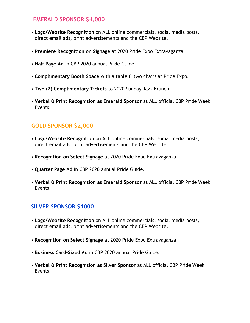## **EMERALD SPONSOR \$4,000**

- **Logo/Website Recognition** on ALL online commercials, social media posts, direct email ads, print advertisements and the CBP Website.
- **Premiere Recognition on Signage** at 2020 Pride Expo Extravaganza.
- **Half Page Ad** in CBP 2020 annual Pride Guide.
- **Complimentary Booth Space** with a table & two chairs at Pride Expo.
- **Two (2) Complimentary Tickets** to 2020 Sunday Jazz Brunch.
- **Verbal & Print Recognition as Emerald Sponsor** at ALL official CBP Pride Week Events.

## **GOLD SPONSOR \$2,000**

- **Logo/Website Recognition** on ALL online commercials, social media posts, direct email ads, print advertisements and the CBP Website.
- **Recognition on Select Signage** at 2020 Pride Expo Extravaganza.
- **Quarter Page Ad** in CBP 2020 annual Pride Guide.
- **Verbal & Print Recognition as Emerald Sponsor** at ALL official CBP Pride Week Events.

## **SILVER SPONSOR \$1000**

- **Logo/Website Recognition** on ALL online commercials, social media posts, direct email ads, print advertisements and the CBP Website**.**
- **Recognition on Select Signage** at 2020 Pride Expo Extravaganza.
- **Business Card-Sized Ad** in CBP 2020 annual Pride Guide.
- **Verbal & Print Recognition as Silver Sponsor** at ALL official CBP Pride Week Events.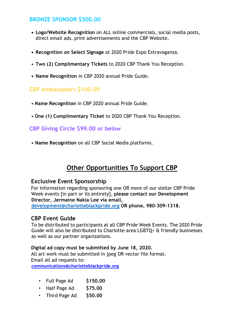## **BRONZE SPONSOR \$500.00**

- **• Logo/Website Recognition** on ALL online commercials, social media posts, direct email ads, print advertisements and the CBP Website**.**
- **• Recognition on Select Signage** at 2020 Pride Expo Extravaganza.
- **Two (2) Complimentary Tickets** to 2020 CBP Thank You Reception.
- **• Name Recognition** in CBP 2020 annual Pride Guide.

#### **CBP Ambassadors \$100.00**

- **Name Recognition** in CBP 2020 annual Pride Guide.
- **One (1) Complimentary Ticket** to 2020 CBP Thank You Reception.

#### **CBP Giving Circle \$99.00 or below**

• **Name Recognition** on all CBP Social Media platforms.

## **Other Opportunities To Support CBP**

#### **Exclusive Event Sponsorship**

For information regarding sponsoring one OR more of our stellar CBP Pride Week events [in part or its entirety], **please contact our Development Director, Jermaine Nakia Lee via email,** 

**development@charlotteblackpride.org OR phone, 980-309-1318.**

#### **CBP Event Guide**

To be distributed to participants at all CBP Pride Week Events. The 2020 Pride Guide will also be distributed to Charlotte-area LGBTQ+ & friendly businesses as well as our partner organizations.

#### **Digital ad copy must be submitted by June 18, 2020.**

All art work must be submitted in jpeg OR vector file format. Email all ad requests to: **communications@charlotteblackpride.org**

- Full Page Ad **\$150.00**
- Half Page Ad **\$75.00**
- Third Page Ad **\$50.00**